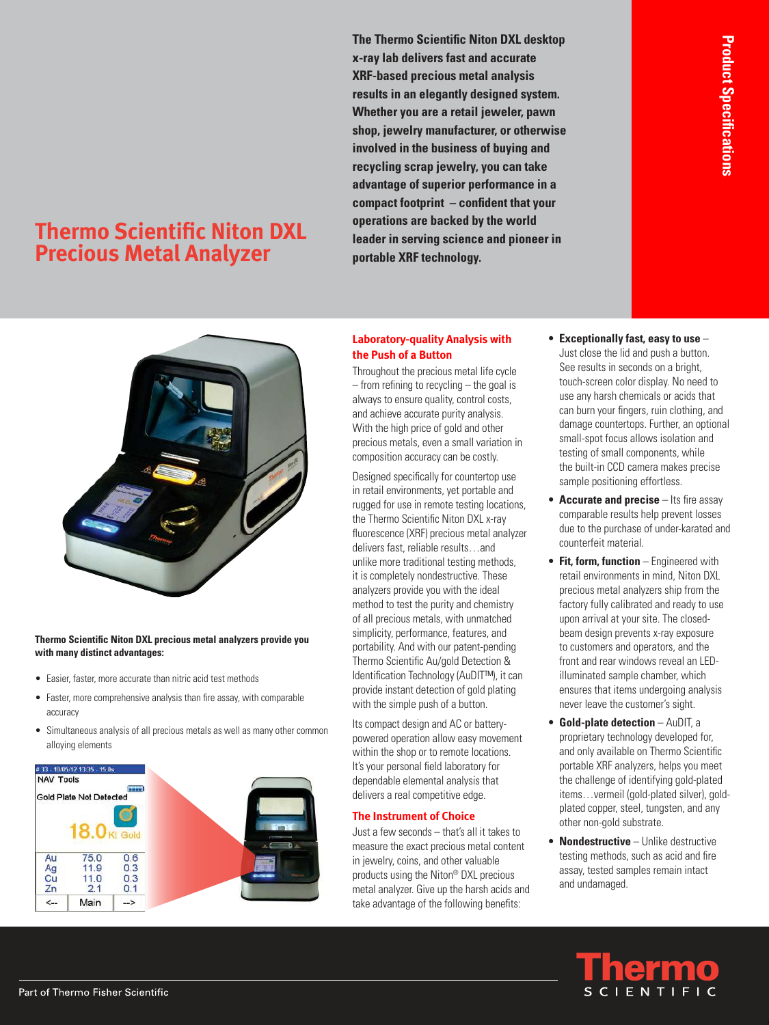# **Thermo Scientific Niton DXL Precious Metal Analyzer**

**The Thermo Scientific Niton DXL desktop x-ray lab delivers fast and accurate XRF-based precious metal analysis results in an elegantly designed system. Whether you are a retail jeweler, pawn shop, jewelry manufacturer, or otherwise involved in the business of buying and recycling scrap jewelry, you can take advantage of superior performance in a compact footprint – confident that your operations are backed by the world leader in serving science and pioneer in portable XRF technology.**



#### **Thermo Scientific Niton DXL precious metal analyzers provide you with many distinct advantages:**

- Easier, faster, more accurate than nitric acid test methods
- Faster, more comprehensive analysis than fire assay, with comparable accuracy
- Simultaneous analysis of all precious metals as well as many other common alloying elements



### **Laboratory-quality Analysis with the Push of a Button**

Throughout the precious metal life cycle  $-$  from refining to recycling  $-$  the goal is always to ensure quality, control costs, and achieve accurate purity analysis. With the high price of gold and other precious metals, even a small variation in composition accuracy can be costly.

Designed specifically for countertop use in retail environments, yet portable and rugged for use in remote testing locations, the Thermo Scientific Niton DXL x-ray fluorescence (XRF) precious metal analyzer delivers fast, reliable results…and unlike more traditional testing methods, it is completely nondestructive. These analyzers provide you with the ideal method to test the purity and chemistry of all precious metals, with unmatched simplicity, performance, features, and portability. And with our patent-pending Thermo Scientific Au/gold Detection & Identification Technology (AuDIT™), it can provide instant detection of gold plating with the simple push of a button.

Its compact design and AC or batterypowered operation allow easy movement within the shop or to remote locations. It's your personal field laboratory for dependable elemental analysis that delivers a real competitive edge.

#### **The Instrument of Choice**

Just a few seconds - that's all it takes to measure the exact precious metal content in jewelry, coins, and other valuable products using the Niton® DXL precious metal analyzer. Give up the harsh acids and take advantage of the following benefits:

• **Exceptionally fast, easy to use** – Just close the lid and push a button. See results in seconds on a bright, touch-screen color display. No need to use any harsh chemicals or acids that can burn your fingers, ruin clothing, and damage countertops. Further, an optional small-spot focus allows isolation and testing of small components, while the built-in CCD camera makes precise

sample positioning effortless.

- **Accurate and precise** Its fire assay comparable results help prevent losses due to the purchase of under-karated and counterfeit material.
- **Fit, form, function** Engineered with retail environments in mind, Niton DXL precious metal analyzers ship from the factory fully calibrated and ready to use upon arrival at your site. The closedbeam design prevents x-ray exposure to customers and operators, and the front and rear windows reveal an LEDilluminated sample chamber, which ensures that items undergoing analysis never leave the customer's sight.
- **Gold-plate detection** AuDIT, a proprietary technology developed for, and only available on Thermo Scientific portable XRF analyzers, helps you meet the challenge of identifying gold-plated items...vermeil (gold-plated silver), goldplated copper, steel, tungsten, and any other non-gold substrate.
- **Nondestructive** Unlike destructive testing methods, such as acid and fire assay, tested samples remain intact and undamaged.